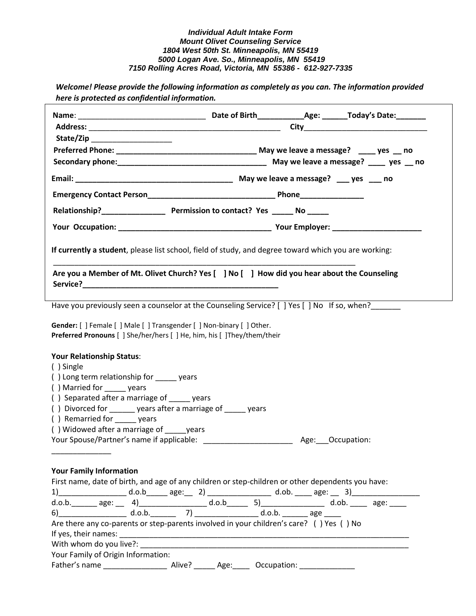*Welcome! Please provide the following information as completely as you can. The information provided here is protected as confidential information.* 

| State/Zip ____________________                                                                                                                           |                                                                                                                                                                                                                                                                                                                                                                                                                                                                                       |
|----------------------------------------------------------------------------------------------------------------------------------------------------------|---------------------------------------------------------------------------------------------------------------------------------------------------------------------------------------------------------------------------------------------------------------------------------------------------------------------------------------------------------------------------------------------------------------------------------------------------------------------------------------|
|                                                                                                                                                          |                                                                                                                                                                                                                                                                                                                                                                                                                                                                                       |
|                                                                                                                                                          |                                                                                                                                                                                                                                                                                                                                                                                                                                                                                       |
|                                                                                                                                                          |                                                                                                                                                                                                                                                                                                                                                                                                                                                                                       |
|                                                                                                                                                          | Emergency Contact Person <b>Exercise 2018</b> Phone Phone Phone <b>Phone</b> 2018                                                                                                                                                                                                                                                                                                                                                                                                     |
|                                                                                                                                                          |                                                                                                                                                                                                                                                                                                                                                                                                                                                                                       |
|                                                                                                                                                          |                                                                                                                                                                                                                                                                                                                                                                                                                                                                                       |
|                                                                                                                                                          | If currently a student, please list school, field of study, and degree toward which you are working:                                                                                                                                                                                                                                                                                                                                                                                  |
|                                                                                                                                                          | Are you a Member of Mt. Olivet Church? Yes [ ] No [ ] How did you hear about the Counseling                                                                                                                                                                                                                                                                                                                                                                                           |
|                                                                                                                                                          | Have you previously seen a counselor at the Counseling Service? [ ] Yes [ ] No If so, when?                                                                                                                                                                                                                                                                                                                                                                                           |
| Gender: [ ] Female [ ] Male [ ] Transgender [ ] Non-binary [ ] Other.<br><b>Preferred Pronouns</b> [ ] She/her/hers [ ] He, him, his [ ] They/them/their |                                                                                                                                                                                                                                                                                                                                                                                                                                                                                       |
| <b>Your Relationship Status:</b>                                                                                                                         |                                                                                                                                                                                                                                                                                                                                                                                                                                                                                       |
| () Single                                                                                                                                                |                                                                                                                                                                                                                                                                                                                                                                                                                                                                                       |
| () Long term relationship for years                                                                                                                      |                                                                                                                                                                                                                                                                                                                                                                                                                                                                                       |
| () Married for years                                                                                                                                     |                                                                                                                                                                                                                                                                                                                                                                                                                                                                                       |
| () Separated after a marriage of _____ years                                                                                                             |                                                                                                                                                                                                                                                                                                                                                                                                                                                                                       |
| () Divorced for years after a marriage of years                                                                                                          |                                                                                                                                                                                                                                                                                                                                                                                                                                                                                       |
| () Remarried for ______ years                                                                                                                            |                                                                                                                                                                                                                                                                                                                                                                                                                                                                                       |
| () Widowed after a marriage of years                                                                                                                     |                                                                                                                                                                                                                                                                                                                                                                                                                                                                                       |
|                                                                                                                                                          |                                                                                                                                                                                                                                                                                                                                                                                                                                                                                       |
| <b>Your Family Information</b>                                                                                                                           |                                                                                                                                                                                                                                                                                                                                                                                                                                                                                       |
|                                                                                                                                                          | First name, date of birth, and age of any children or step-children or other dependents you have:                                                                                                                                                                                                                                                                                                                                                                                     |
|                                                                                                                                                          |                                                                                                                                                                                                                                                                                                                                                                                                                                                                                       |
|                                                                                                                                                          | $\underbrace{1) \qquad \qquad}_{\text{$d.o.b. \qquad \text{age:} \qquad \text{4}, \qquad \text{age:} \qquad \text{2)} \qquad \qquad \text{$d.o.b. \qquad \text{age:} \qquad \text{3)} \qquad \qquad \text{d.o.b.} \qquad \text{age:} \qquad \text{4}, \qquad \text{4}, \qquad \text{4}, \qquad \text{4}, \qquad \text{4}, \qquad \text{4}, \qquad \text{4}, \qquad \text{4}, \qquad \text{4}, \qquad \text{4}, \qquad \text{4}, \qquad \text{4}, \qquad \text{4}, \qquad \text{4}, \$ |
|                                                                                                                                                          |                                                                                                                                                                                                                                                                                                                                                                                                                                                                                       |
|                                                                                                                                                          | Are there any co-parents or step-parents involved in your children's care? () Yes () No                                                                                                                                                                                                                                                                                                                                                                                               |
|                                                                                                                                                          |                                                                                                                                                                                                                                                                                                                                                                                                                                                                                       |
|                                                                                                                                                          | With whom do you live?: We have a series of the series of the series of the series of the series of the series                                                                                                                                                                                                                                                                                                                                                                        |
| Your Family of Origin Information:                                                                                                                       |                                                                                                                                                                                                                                                                                                                                                                                                                                                                                       |
|                                                                                                                                                          |                                                                                                                                                                                                                                                                                                                                                                                                                                                                                       |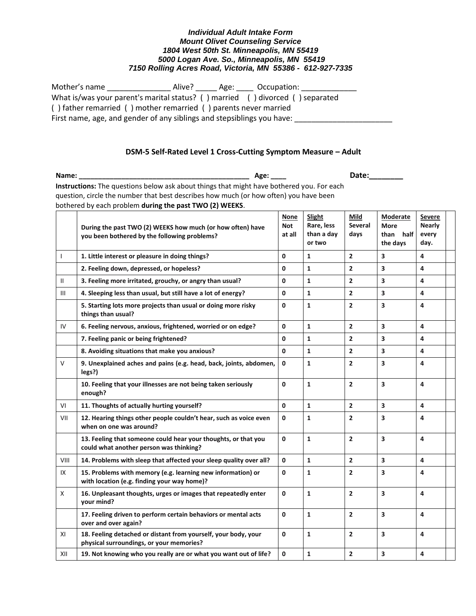| Mother's name                                                                 |  |  | Occupation: |  |
|-------------------------------------------------------------------------------|--|--|-------------|--|
| What is/was your parent's marital status? () married () divorced () separated |  |  |             |  |
| () father remarried () mother remarried () parents never married              |  |  |             |  |
| First name, age, and gender of any siblings and stepsiblings you have:        |  |  |             |  |

## **DSM-5 Self-Rated Level 1 Cross-Cutting Symptom Measure - Adult**

**Name: \_\_\_\_\_\_\_\_\_\_\_\_\_\_\_\_\_\_\_\_\_\_\_\_\_\_\_\_\_\_\_\_\_\_\_\_\_\_\_\_\_\_\_\_ Age: \_\_\_\_ Date:\_\_\_\_\_\_\_\_ Instructions:** The questions below ask about things that might have bothered you. For each question, circle the number that best describes how much (or how often) you have been bothered by each problem **during the past TWO (2) WEEKS**.

|                                  | During the past TWO (2) WEEKS how much (or how often) have<br>you been bothered by the following problems? | <b>None</b><br><b>Not</b><br>at all | Slight<br>Rare, less<br>than a day<br>or two | Mild<br><b>Several</b><br>days | <b>Moderate</b><br><b>More</b><br>than<br>half<br>the days | Severe<br><b>Nearly</b><br>every<br>day. |  |
|----------------------------------|------------------------------------------------------------------------------------------------------------|-------------------------------------|----------------------------------------------|--------------------------------|------------------------------------------------------------|------------------------------------------|--|
| $\mathbf{I}$                     | 1. Little interest or pleasure in doing things?                                                            | 0                                   | $\mathbf{1}$                                 | $\mathbf{2}$                   | 3                                                          | 4                                        |  |
|                                  | 2. Feeling down, depressed, or hopeless?                                                                   | $\mathbf{0}$                        | $\mathbf{1}$                                 | $\overline{2}$                 | 3                                                          | 4                                        |  |
| $\mathbf{H}$                     | 3. Feeling more irritated, grouchy, or angry than usual?                                                   | 0                                   | $\mathbf{1}$                                 | $\overline{2}$                 | 3                                                          | 4                                        |  |
| $\mathop{\mathsf{III}}\nolimits$ | 4. Sleeping less than usual, but still have a lot of energy?                                               | $\mathbf 0$                         | $\mathbf{1}$                                 | $\overline{2}$                 | 3                                                          | 4                                        |  |
|                                  | 5. Starting lots more projects than usual or doing more risky<br>things than usual?                        | 0                                   | $\mathbf{1}$                                 | $\overline{2}$                 | 3                                                          | 4                                        |  |
| IV                               | 6. Feeling nervous, anxious, frightened, worried or on edge?                                               | 0                                   | $\mathbf{1}$                                 | $\overline{2}$                 | $\overline{\mathbf{3}}$                                    | 4                                        |  |
|                                  | 7. Feeling panic or being frightened?                                                                      | 0                                   | $\mathbf{1}$                                 | $\overline{\mathbf{c}}$        | 3                                                          | 4                                        |  |
|                                  | 8. Avoiding situations that make you anxious?                                                              | 0                                   | $\mathbf{1}$                                 | $\overline{2}$                 | $\overline{\mathbf{3}}$                                    | 4                                        |  |
| $\vee$                           | 9. Unexplained aches and pains (e.g. head, back, joints, abdomen,<br>legs?)                                | 0                                   | $\mathbf{1}$                                 | $\overline{2}$                 | 3                                                          | 4                                        |  |
|                                  | 10. Feeling that your illnesses are not being taken seriously<br>enough?                                   | $\Omega$                            | $\mathbf{1}$                                 | $\overline{2}$                 | 3                                                          | 4                                        |  |
| VI                               | 11. Thoughts of actually hurting yourself?                                                                 | 0                                   | $\mathbf{1}$                                 | $\overline{2}$                 | 3                                                          | 4                                        |  |
| VII                              | 12. Hearing things other people couldn't hear, such as voice even<br>when on one was around?               | 0                                   | $\mathbf{1}$                                 | $\overline{2}$                 | 3                                                          | 4                                        |  |
|                                  | 13. Feeling that someone could hear your thoughts, or that you<br>could what another person was thinking?  | $\mathbf{0}$                        | $\mathbf{1}$                                 | $\overline{2}$                 | 3                                                          | 4                                        |  |
| VIII                             | 14. Problems with sleep that affected your sleep quality over all?                                         | $\mathbf 0$                         | $\mathbf{1}$                                 | $\overline{2}$                 | 3                                                          | 4                                        |  |
| IX                               | 15. Problems with memory (e.g. learning new information) or<br>with location (e.g. finding your way home)? | 0                                   | $\mathbf{1}$                                 | $\overline{2}$                 | 3                                                          | 4                                        |  |
| $\mathsf{X}$                     | 16. Unpleasant thoughts, urges or images that repeatedly enter<br>your mind?                               | 0                                   | $\mathbf{1}$                                 | $\overline{2}$                 | $\overline{\mathbf{3}}$                                    | 4                                        |  |
|                                  | 17. Feeling driven to perform certain behaviors or mental acts<br>over and over again?                     | 0                                   | $\mathbf{1}$                                 | $\overline{2}$                 | 3                                                          | 4                                        |  |
| XI                               | 18. Feeling detached or distant from yourself, your body, your<br>physical surroundings, or your memories? | 0                                   | $\mathbf{1}$                                 | $\overline{2}$                 | 3                                                          | 4                                        |  |
| XII                              | 19. Not knowing who you really are or what you want out of life?                                           | 0                                   | 1                                            | $\overline{\mathbf{c}}$        | 3                                                          | 4                                        |  |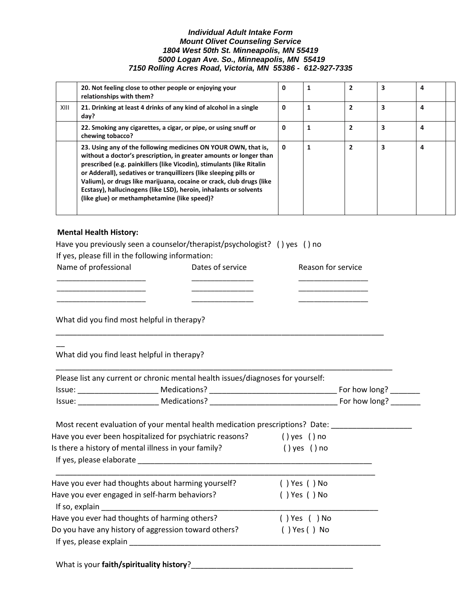|      | 20. Not feeling close to other people or enjoying your<br>relationships with them?                                                                                                                                                                                                                                                                                                                                                                                              | 0 |   | $\overline{2}$ | 3 | 4 |  |
|------|---------------------------------------------------------------------------------------------------------------------------------------------------------------------------------------------------------------------------------------------------------------------------------------------------------------------------------------------------------------------------------------------------------------------------------------------------------------------------------|---|---|----------------|---|---|--|
| XIII | 21. Drinking at least 4 drinks of any kind of alcohol in a single<br>day?                                                                                                                                                                                                                                                                                                                                                                                                       | 0 | 1 | 2              | 3 | 4 |  |
|      | 22. Smoking any cigarettes, a cigar, or pipe, or using snuff or<br>chewing tobacco?                                                                                                                                                                                                                                                                                                                                                                                             | 0 |   | $\overline{2}$ | 3 | 4 |  |
|      | 23. Using any of the following medicines ON YOUR OWN, that is,<br>without a doctor's prescription, in greater amounts or longer than<br>prescribed (e.g. painkillers (like Vicodin), stimulants (like Ritalin<br>or Adderall), sedatives or tranquillizers (like sleeping pills or<br>Valium), or drugs like marijuana, cocaine or crack, club drugs (like<br>Ecstasy), hallucinogens (like LSD), heroin, inhalants or solvents<br>(like glue) or methamphetamine (like speed)? | 0 |   | $\overline{2}$ | 3 | 4 |  |

## **Mental Health History:**

| Name of professional                                                            | Dates of service                                                                                                      | Reason for service |  |
|---------------------------------------------------------------------------------|-----------------------------------------------------------------------------------------------------------------------|--------------------|--|
| What did you find most helpful in therapy?                                      | <u> 1989 - John Harry Harry Harry Harry Harry Harry Harry Harry Harry Harry Harry Harry Harry Harry Harry Harry H</u> |                    |  |
| What did you find least helpful in therapy?                                     |                                                                                                                       |                    |  |
| Please list any current or chronic mental health issues/diagnoses for yourself: |                                                                                                                       |                    |  |
|                                                                                 |                                                                                                                       |                    |  |
|                                                                                 |                                                                                                                       |                    |  |
| Most recent evaluation of your mental health medication prescriptions? Date:    |                                                                                                                       |                    |  |
| Have you ever been hospitalized for psychiatric reasons? () yes () no           |                                                                                                                       |                    |  |
| Is there a history of mental illness in your family?                            |                                                                                                                       | $()$ yes $()$ no   |  |
|                                                                                 |                                                                                                                       |                    |  |
|                                                                                 |                                                                                                                       | () Yes () No       |  |
| Have you ever had thoughts about harming yourself?                              |                                                                                                                       |                    |  |
|                                                                                 |                                                                                                                       | $( )$ Yes $( )$ No |  |
| Have you ever engaged in self-harm behaviors?                                   |                                                                                                                       |                    |  |
| Have you ever had thoughts of harming others?                                   |                                                                                                                       | () Yes () No       |  |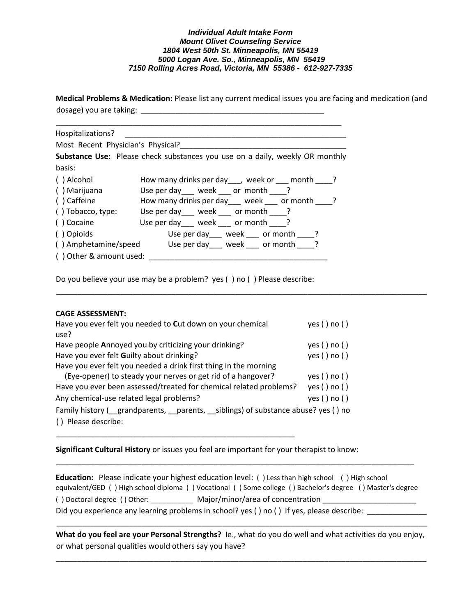**Medical Problems & Medication:** Please list any current medical issues you are facing and medication (and dosage) you are taking: \_\_\_\_\_\_\_\_\_\_\_\_\_\_\_\_\_\_\_\_\_\_\_\_\_\_\_\_\_\_\_\_\_\_\_\_\_\_\_\_\_\_\_

\_\_\_\_\_\_\_\_\_\_\_\_\_\_\_\_\_\_\_\_\_\_\_\_\_\_\_\_\_\_\_\_\_\_\_\_\_\_\_\_\_\_\_\_\_\_\_\_\_\_\_\_\_\_\_\_\_\_\_\_\_\_\_\_\_\_\_\_\_\_\_\_\_\_\_\_\_\_\_\_\_\_\_\_\_\_\_

| Hospitalizations?                 |                                                                              |
|-----------------------------------|------------------------------------------------------------------------------|
| Most Recent Physician's Physical? |                                                                              |
|                                   | Substance Use: Please check substances you use on a daily, weekly OR monthly |
| basis:                            |                                                                              |
| () Alcohol                        | How many drinks per day ___, week or ___ month ____?                         |
| () Marijuana                      | Use per day week ___ or month ____ ?                                         |
| () Caffeine                       | How many drinks per day ___ week ___ or month ____?                          |
| () Tobacco, type:                 | Use per day ___ week ___ or month ____?                                      |
| ( ) Cocaine                       | Use per day ___ week ___ or month ____?                                      |
| () Opioids                        | Use per day ___ week ___ or month ____ ?                                     |
| () Amphetamine/speed              | Use per day week ____ or month _____?                                        |
| () Other & amount used:           |                                                                              |

Do you believe your use may be a problem? yes ( ) no ( ) Please describe:

## **CAGE ASSESSMENT:**

| Have you ever felt you needed to Cut down on your chemical<br>use?                                        | yes()no()  |
|-----------------------------------------------------------------------------------------------------------|------------|
| Have people Annoyed you by criticizing your drinking?                                                     | yes() no() |
|                                                                                                           |            |
| Have you ever felt Guilty about drinking?                                                                 | yes() no() |
| Have you ever felt you needed a drink first thing in the morning                                          |            |
| (Eye-opener) to steady your nerves or get rid of a hangover?                                              | yes() no() |
| Have you ever been assessed/treated for chemical related problems?                                        | yes() no() |
| Any chemical-use related legal problems?                                                                  | yes() no() |
| Family history ( <i>grandparents</i> , <i>parents</i> , <i>__siblings</i> ) of substance abuse? yes () no |            |
| Please describe:                                                                                          |            |

**Significant Cultural History** or issues you feel are important for your therapist to know:

\_\_\_\_\_\_\_\_\_\_\_\_\_\_\_\_\_\_\_\_\_\_\_\_\_\_\_\_\_\_\_\_\_\_\_\_\_\_\_\_\_\_\_\_\_\_\_\_\_\_\_\_\_\_\_\_

**Education:** Please indicate your highest education level: ( ) Less than high school ( ) High school equivalent/GED ( ) High school diploma ( ) Vocational ( ) Some college ( ) Bachelor's degree ( ) Master's degree () Doctoral degree () Other: \_\_\_\_\_\_\_\_\_\_\_\_ Major/minor/area of concentration \_\_\_\_\_\_\_\_\_\_\_\_\_\_\_\_\_\_\_\_\_\_\_ Did you experience any learning problems in school? yes () no () If yes, please describe:

\_\_\_\_\_\_\_\_\_\_\_\_\_\_\_\_\_\_\_\_\_\_\_\_\_\_\_\_\_\_\_\_\_\_\_\_\_\_\_\_\_\_\_\_\_\_\_\_\_\_\_\_\_\_\_\_\_\_\_\_\_\_\_\_\_\_\_\_\_\_\_\_\_\_\_\_\_\_\_\_\_\_\_\_

**What do you feel are your Personal Strengths?** Ie., what do you do well and what activities do you enjoy, or what personal qualities would others say you have?

\_\_\_\_\_\_\_\_\_\_\_\_\_\_\_\_\_\_\_\_\_\_\_\_\_\_\_\_\_\_\_\_\_\_\_\_\_\_\_\_\_\_\_\_\_\_\_\_\_\_\_\_\_\_\_\_\_\_\_\_\_\_\_\_\_\_\_\_\_\_\_\_\_\_\_\_\_\_\_\_\_\_\_\_\_\_\_

\_\_\_\_\_\_\_\_\_\_\_\_\_\_\_\_\_\_\_\_\_\_\_\_\_\_\_\_\_\_\_\_\_\_\_\_\_\_\_\_\_\_\_\_\_\_\_\_\_\_\_\_\_\_\_\_\_\_\_\_\_\_\_\_\_\_\_\_\_\_\_\_\_\_\_\_\_\_\_\_\_\_\_\_\_\_\_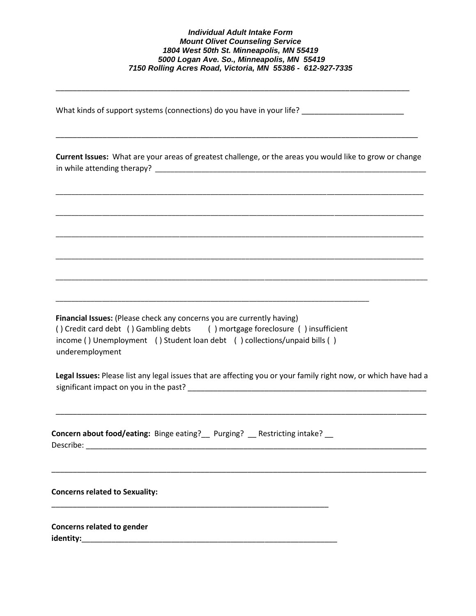\_\_\_\_\_\_\_\_\_\_\_\_\_\_\_\_\_\_\_\_\_\_\_\_\_\_\_\_\_\_\_\_\_\_\_\_\_\_\_\_\_\_\_\_\_\_\_\_\_\_\_\_\_\_\_\_\_\_\_\_\_\_\_\_\_\_\_\_\_\_\_\_\_\_\_\_\_\_\_\_\_\_\_

What kinds of support systems (connections) do you have in your life? \_\_\_\_\_\_\_\_\_\_\_\_\_\_\_\_\_\_\_\_\_\_\_\_

**Current Issues:** What are your areas of greatest challenge, or the areas you would like to grow or change in while attending therapy? \_\_\_\_\_\_\_\_\_\_\_\_\_\_\_\_\_\_\_\_\_\_\_\_\_\_\_\_\_\_\_\_\_\_\_\_\_\_\_\_\_\_\_\_\_\_\_\_\_\_\_\_\_\_\_\_\_\_\_\_\_\_\_\_\_\_\_\_\_\_

\_\_\_\_\_\_\_\_\_\_\_\_\_\_\_\_\_\_\_\_\_\_\_\_\_\_\_\_\_\_\_\_\_\_\_\_\_\_\_\_\_\_\_\_\_\_\_\_\_\_\_\_\_\_\_\_\_\_\_\_\_\_\_\_\_\_\_\_\_\_\_\_\_\_\_\_\_\_\_\_\_\_\_\_\_\_\_\_\_\_\_\_\_\_\_

\_\_\_\_\_\_\_\_\_\_\_\_\_\_\_\_\_\_\_\_\_\_\_\_\_\_\_\_\_\_\_\_\_\_\_\_\_\_\_\_\_\_\_\_\_\_\_\_\_\_\_\_\_\_\_\_\_\_\_\_\_\_\_\_\_\_\_\_\_\_\_\_\_\_\_\_\_\_\_\_\_\_\_\_\_\_\_\_\_\_\_\_\_\_\_

\_\_\_\_\_\_\_\_\_\_\_\_\_\_\_\_\_\_\_\_\_\_\_\_\_\_\_\_\_\_\_\_\_\_\_\_\_\_\_\_\_\_\_\_\_\_\_\_\_\_\_\_\_\_\_\_\_\_\_\_\_\_\_\_\_\_\_\_\_\_\_\_\_\_\_\_\_\_\_\_\_\_\_\_\_\_\_\_\_\_\_\_\_\_\_

\_\_\_\_\_\_\_\_\_\_\_\_\_\_\_\_\_\_\_\_\_\_\_\_\_\_\_\_\_\_\_\_\_\_\_\_\_\_\_\_\_\_\_\_\_\_\_\_\_\_\_\_\_\_\_\_\_\_\_\_\_\_\_\_\_\_\_\_\_\_\_\_\_\_\_\_\_\_\_\_\_\_\_\_\_\_\_\_\_\_\_\_\_\_\_

\_\_\_\_\_\_\_\_\_\_\_\_\_\_\_\_\_\_\_\_\_\_\_\_\_\_\_\_\_\_\_\_\_\_\_\_\_\_\_\_\_\_\_\_\_\_\_\_\_\_\_\_\_\_\_\_\_\_\_\_\_\_\_\_\_\_\_\_\_\_\_\_\_\_\_\_\_\_\_\_\_\_\_\_\_\_\_\_\_\_\_\_\_\_\_\_

\_\_\_\_\_\_\_\_\_\_\_\_\_\_\_\_\_\_\_\_\_\_\_\_\_\_\_\_\_\_\_\_\_\_\_\_\_\_\_\_\_\_\_\_\_\_\_\_\_\_\_\_\_\_\_\_\_\_\_\_\_\_\_\_\_\_\_\_\_\_\_\_\_\_\_\_\_\_\_\_\_\_\_\_\_

**Financial Issues:** (Please check any concerns you are currently having) ( ) Credit card debt ( ) Gambling debts ( ) mortgage foreclosure ( ) insufficient income ( ) Unemployment ( ) Student loan debt ( ) collections/unpaid bills ( ) underemployment

\_\_\_\_\_\_\_\_\_\_\_\_\_\_\_\_\_\_\_\_\_\_\_\_\_\_\_\_\_\_\_\_\_\_\_\_\_\_\_\_\_\_\_\_\_\_\_\_\_\_\_\_\_\_\_\_\_\_\_\_\_\_\_\_\_\_\_\_\_\_\_\_\_\_\_\_\_\_\_\_\_

**Legal Issues:** Please list any legal issues that are affecting you or your family right now, or which have had a significant impact on you in the past?

\_\_\_\_\_\_\_\_\_\_\_\_\_\_\_\_\_\_\_\_\_\_\_\_\_\_\_\_\_\_\_\_\_\_\_\_\_\_\_\_\_\_\_\_\_\_\_\_\_\_\_\_\_\_\_\_\_\_\_\_\_\_\_\_\_\_\_\_\_\_\_\_\_\_\_\_\_\_\_\_\_\_\_\_\_\_\_

\_\_\_\_\_\_\_\_\_\_\_\_\_\_\_\_\_\_\_\_\_\_\_\_\_\_\_\_\_\_\_\_\_\_\_\_\_\_\_\_\_\_\_\_\_\_\_\_\_\_\_\_\_\_\_\_\_\_\_\_\_\_\_\_\_\_\_\_\_\_\_\_\_\_\_\_\_\_\_\_\_\_\_\_\_\_\_\_

| <b>Concern about food/eating:</b> Binge eating? __ Purging? __ Restricting intake? |  |  |
|------------------------------------------------------------------------------------|--|--|
| Describe:                                                                          |  |  |

\_\_\_\_\_\_\_\_\_\_\_\_\_\_\_\_\_\_\_\_\_\_\_\_\_\_\_\_\_\_\_\_\_\_\_\_\_\_\_\_\_\_\_\_\_\_\_\_\_\_\_\_\_\_\_\_\_\_\_\_\_\_\_\_\_

**Concerns related to Sexuality:**

**Concerns related to gender identity:**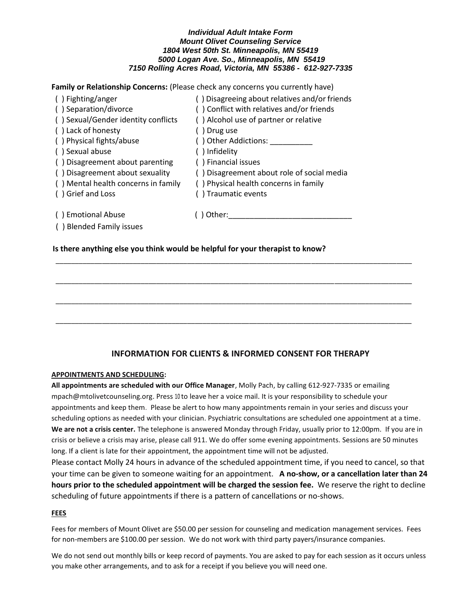**Family or Relationship Concerns:** (Please check any concerns you currently have)

| () Fighting/anger                   | () Disagreeing about relatives and/or friends |
|-------------------------------------|-----------------------------------------------|
| () Separation/divorce               | () Conflict with relatives and/or friends     |
| () Sexual/Gender identity conflicts | () Alcohol use of partner or relative         |
| () Lack of honesty                  | ) Drug use                                    |
| () Physical fights/abuse            | () Other Addictions:                          |
| () Sexual abuse                     | () Infidelity                                 |
| () Disagreement about parenting     | () Financial issues                           |
| () Disagreement about sexuality     | () Disagreement about role of social media    |
| () Mental health concerns in family | () Physical health concerns in family         |
| () Grief and Loss                   | () Traumatic events                           |
| () Emotional Abuse                  | Other:                                        |

## ( ) Blended Family issues

## **Is there anything else you think would be helpful for your therapist to know?**

# \_\_\_\_\_\_\_\_\_\_\_\_\_\_\_\_\_\_\_\_\_\_\_\_\_\_\_\_\_\_\_\_\_\_\_\_\_\_\_\_\_\_\_\_\_\_\_\_\_\_\_\_\_\_\_\_\_\_\_\_\_\_\_\_\_\_\_\_\_\_\_\_\_\_\_\_\_\_\_\_\_\_\_\_\_\_\_\_\_\_\_\_ \_\_\_\_\_\_\_\_\_\_\_\_\_\_\_\_\_\_\_\_\_\_\_\_\_\_\_\_\_\_\_\_\_\_\_\_\_\_\_\_\_\_\_\_\_\_\_\_\_\_\_\_\_\_\_\_\_\_\_\_\_\_\_\_\_\_\_\_\_\_\_\_\_\_\_\_\_\_\_\_\_\_\_\_\_\_\_\_\_\_\_\_ \_\_\_\_\_\_\_\_\_\_\_\_\_\_\_\_\_\_\_\_\_\_\_\_\_\_\_\_\_\_\_\_\_\_\_\_\_\_\_\_\_\_\_\_\_\_\_\_\_\_\_\_\_\_\_\_\_\_\_\_\_\_\_\_\_\_\_\_\_\_\_\_\_\_\_\_\_\_\_\_\_\_\_\_\_\_\_\_\_\_\_\_

\_\_\_\_\_\_\_\_\_\_\_\_\_\_\_\_\_\_\_\_\_\_\_\_\_\_\_\_\_\_\_\_\_\_\_\_\_\_\_\_\_\_\_\_\_\_\_\_\_\_\_\_\_\_\_\_\_\_\_\_\_\_\_\_\_\_\_\_\_\_\_\_\_\_\_\_\_\_\_\_\_\_\_\_\_\_\_\_\_\_\_\_

## **INFORMATION FOR CLIENTS & INFORMED CONSENT FOR THERAPY**

## **APPOINTMENTS AND SCHEDULING:**

**All appointments are scheduled with our Office Manager**, Molly Pach, by calling 612-927-7335 or emailing mpach@mtolivetcounseling.org. Press 10 to leave her a voice mail. It is your responsibility to schedule your appointments and keep them. Please be alert to how many appointments remain in your series and discuss your scheduling options as needed with your clinician. Psychiatric consultations are scheduled one appointment at a time. **We are not a crisis center.** The telephone is answered Monday through Friday, usually prior to 12:00pm. If you are in crisis or believe a crisis may arise, please call 911. We do offer some evening appointments. Sessions are 50 minutes long. If a client is late for their appointment, the appointment time will not be adjusted.

Please contact Molly 24 hours in advance of the scheduled appointment time, if you need to cancel, so that your time can be given to someone waiting for an appointment. **A no-show, or a cancellation later than 24 hours prior to the scheduled appointment will be charged the session fee.** We reserve the right to decline scheduling of future appointments if there is a pattern of cancellations or no-shows.

## **FEES**

Fees for members of Mount Olivet are \$50.00 per session for counseling and medication management services. Fees for non-members are \$100.00 per session. We do not work with third party payers/insurance companies.

We do not send out monthly bills or keep record of payments. You are asked to pay for each session as it occurs unless you make other arrangements, and to ask for a receipt if you believe you will need one.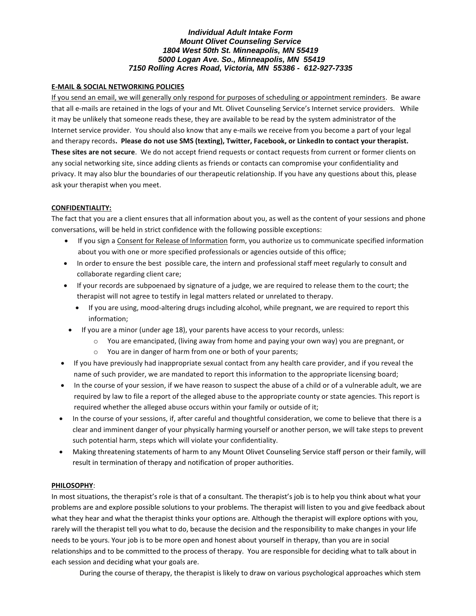## **E-MAIL & SOCIAL NETWORKING POLICIES**

If you send an email, we will generally only respond for purposes of scheduling or appointment reminders. Be aware that all e-mails are retained in the logs of your and Mt. Olivet Counseling Service's Internet service providers. While it may be unlikely that someone reads these, they are available to be read by the system administrator of the Internet service provider. You should also know that any e-mails we receive from you become a part of your legal and therapy records. Please do not use SMS (texting), Twitter, Facebook, or LinkedIn to contact your therapist. **These sites are not secure**. We do not accept friend requests or contact requests from current or former clients on any social networking site, since adding clients as friends or contacts can compromise your confidentiality and privacy. It may also blur the boundaries of our therapeutic relationship. If you have any questions about this, please ask your therapist when you meet.

## **CONFIDENTIALITY:**

The fact that you are a client ensures that all information about you, as well as the content of your sessions and phone conversations, will be held in strict confidence with the following possible exceptions:

- If you sign a Consent for Release of Information form, you authorize us to communicate specified information about you with one or more specified professionals or agencies outside of this office;
- In order to ensure the best 'possible care, the intern and professional staff meet regularly to consult and collaborate regarding client care;
- If your records are subpoenaed by signature of a judge, we are required to release them to the court; the therapist will not agree to testify in legal matters related or unrelated to therapy.
	- If you are using, mood-altering drugs including alcohol, while pregnant, we are required to report this information;
- If you are a minor (under age 18), your parents have access to your records, unless:
	- $\circ$  You are emancipated, (living away from home and paying your own way) you are pregnant, or
	- o You are in danger of harm from one or both of your parents;
- If you have previously had inappropriate sexual contact from any health care provider, and if you reveal the name of such provider, we are mandated to report this information to the appropriate licensing board;
- In the course of your session, if we have reason to suspect the abuse of a child or of a vulnerable adult, we are required by law to file a report of the alleged abuse to the appropriate county or state agencies. This report is required whether the alleged abuse occurs within your family or outside of it;
- In the course of your sessions, if, after careful and thoughtful consideration, we come to believe that there is a clear and imminent danger of your physically harming yourself or another person, we will take steps to prevent such potential harm, steps which will violate your confidentiality.
- Making threatening statements of harm to any Mount Olivet Counseling Service staff person or their family, will result in termination of therapy and notification of proper authorities.

## **PHILOSOPHY**:

In most situations, the therapist's role is that of a consultant. The therapist's job is to help you think about what your problems are and explore possible solutions to your problems. The therapist will listen to you and give feedback about what they hear and what the therapist thinks your options are. Although the therapist will explore options with you, rarely will the therapist tell you what to do, because the decision and the responsibility to make changes in your life needs to be yours. Your job is to be more open and honest about yourself in therapy, than you are in social relationships and to be committed to the process of therapy. You are responsible for deciding what to talk about in each session and deciding what your goals are.

During the course of therapy, the therapist is likely to draw on various psychological approaches which stem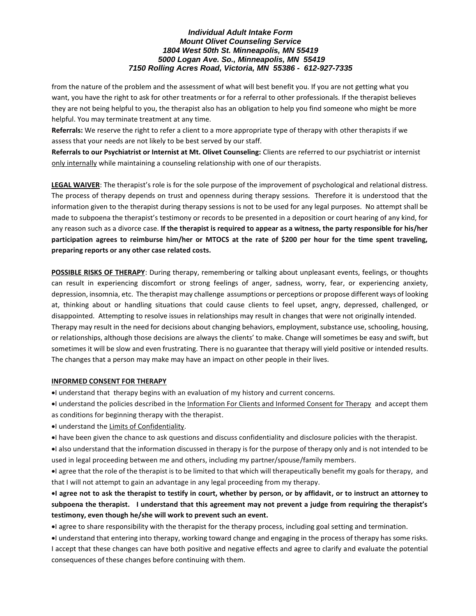from the nature of the problem and the assessment of what will best benefit you. If you are not getting what you want, you have the right to ask for other treatments or for a referral to other professionals. If the therapist believes they are not being helpful to you, the therapist also has an obligation to help you find someone who might be more helpful. You may terminate treatment at any time.

**Referrals:** We reserve the right to refer a client to a more appropriate type of therapy with other therapists if we assess that your needs are not likely to be best served by our staff.

**Referrals to our Psychiatrist or Internist at Mt. Olivet Counseling:** Clients are referred to our psychiatrist or internist only internally while maintaining a counseling relationship with one of our therapists.

**LEGAL WAIVER**: The therapist's role is for the sole purpose of the improvement of psychological and relational distress. The process of therapy depends on trust and openness during therapy sessions. Therefore it is understood that the information given to the therapist during therapy sessions is not to be used for any legal purposes. No attempt shall be made to subpoena the therapist's testimony or records to be presented in a deposition or court hearing of any kind, for any reason such as a divorce case. **If the therapist is required to appear as a witness, the party responsible for his/her participation agrees to reimburse him/her or MTOCS at the rate of \$200 per hour for the time spent traveling, preparing reports or any other case related costs.** 

**POSSIBLE RISKS OF THERAPY**: During therapy, remembering or talking about unpleasant events, feelings, or thoughts can result in experiencing discomfort or strong feelings of anger, sadness, worry, fear, or experiencing anxiety, depression, insomnia, etc. The therapist may challenge assumptions or perceptions or propose different ways of looking at, thinking about or handling situations that could cause clients to feel upset, angry, depressed, challenged, or disappointed. Attempting to resolve issues in relationships may result in changes that were not originally intended. Therapy may result in the need for decisions about changing behaviors, employment, substance use, schooling, housing, or relationships, although those decisions are always the clients' to make. Change will sometimes be easy and swift, but sometimes it will be slow and even frustrating. There is no guarantee that therapy will yield positive or intended results.

#### **INFORMED CONSENT FOR THERAPY**

 $\bullet$  l understand that therapy begins with an evaluation of my history and current concerns.

The changes that a person may make may have an impact on other people in their lives.

- I understand the policies described in the Information For Clients and Informed Consent for Therapy and accept them as conditions for beginning therapy with the therapist.
- $\bullet$ I understand the Limits of Confidentiality.
- I have been given the chance to ask questions and discuss confidentiality and disclosure policies with the therapist.
- I also understand that the information discussed in therapy is for the purpose of therapy only and is not intended to be used in legal proceeding between me and others, including my partner/spouse/family members.
- I agree that the role of the therapist is to be limited to that which will therapeutically benefit my goals for therapy, and that I will not attempt to gain an advantage in any legal proceeding from my therapy.

**I agree not to ask the therapist to testify in court, whether by person, or by affidavit, or to instruct an attorney to subpoena the therapist. I understand that this agreement may not prevent a judge from requiring the therapist's testimony, even though he/she will work to prevent such an event.** 

I agree to share responsibility with the therapist for the therapy process, including goal setting and termination.

I understand that entering into therapy, working toward change and engaging in the process of therapy has some risks. I accept that these changes can have both positive and negative effects and agree to clarify and evaluate the potential consequences of these changes before continuing with them.